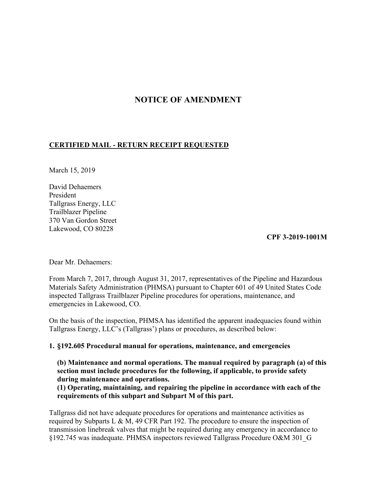# **NOTICE OF AMENDMENT**

## **CERTIFIED MAIL - RETURN RECEIPT REQUESTED**

March 15, 2019

David Dehaemers President Tallgrass Energy, LLC Trailblazer Pipeline 370 Van Gordon Street Lakewood, CO 80228

#### **CPF 3-2019-1001M**

Dear Mr. Dehaemers:

From March 7, 2017, through August 31, 2017, representatives of the Pipeline and Hazardous Materials Safety Administration (PHMSA) pursuant to Chapter 601 of 49 United States Code inspected Tallgrass Trailblazer Pipeline procedures for operations, maintenance, and emergencies in Lakewood, CO.

On the basis of the inspection, PHMSA has identified the apparent inadequacies found within Tallgrass Energy, LLC's (Tallgrass') plans or procedures, as described below:

#### **1. §192.605 Procedural manual for operations, maintenance, and emergencies**

**(b) Maintenance and normal operations. The manual required by paragraph (a) of this section must include procedures for the following, if applicable, to provide safety during maintenance and operations.** 

**(1) Operating, maintaining, and repairing the pipeline in accordance with each of the requirements of this subpart and Subpart M of this part.** 

Tallgrass did not have adequate procedures for operations and maintenance activities as required by Subparts L & M, 49 CFR Part 192. The procedure to ensure the inspection of transmission linebreak valves that might be required during any emergency in accordance to §192.745 was inadequate. PHMSA inspectors reviewed Tallgrass Procedure O&M 301\_G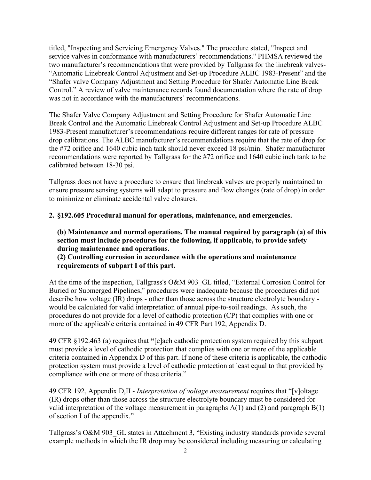titled, "Inspecting and Servicing Emergency Valves." The procedure stated, "Inspect and service valves in conformance with manufacturers' recommendations." PHMSA reviewed the two manufacturer's recommendations that were provided by Tallgrass for the linebreak valves- "Automatic Linebreak Control Adjustment and Set-up Procedure ALBC 1983-Present" and the "Shafer valve Company Adjustment and Setting Procedure for Shafer Automatic Line Break Control." A review of valve maintenance records found documentation where the rate of drop was not in accordance with the manufacturers' recommendations.

The Shafer Valve Company Adjustment and Setting Procedure for Shafer Automatic Line Break Control and the Automatic Linebreak Control Adjustment and Set-up Procedure ALBC 1983-Present manufacturer's recommendations require different ranges for rate of pressure drop calibrations. The ALBC manufacturer's recommendations require that the rate of drop for the #72 orifice and 1640 cubic inch tank should never exceed 18 psi/min. Shafer manufacturer recommendations were reported by Tallgrass for the #72 orifice and 1640 cubic inch tank to be calibrated between 18-30 psi.

Tallgrass does not have a procedure to ensure that linebreak valves are properly maintained to ensure pressure sensing systems will adapt to pressure and flow changes (rate of drop) in order to minimize or eliminate accidental valve closures.

## **2. §192.605 Procedural manual for operations, maintenance, and emergencies.**

**(b) Maintenance and normal operations. The manual required by paragraph (a) of this section must include procedures for the following, if applicable, to provide safety during maintenance and operations.** 

**(2) Controlling corrosion in accordance with the operations and maintenance requirements of subpart I of this part.** 

At the time of the inspection, Tallgrass's O&M 903 GL titled, "External Corrosion Control for Buried or Submerged Pipelines," procedures were inadequate because the procedures did not describe how voltage (IR) drops - other than those across the structure electrolyte boundary would be calculated for valid interpretation of annual pipe-to-soil readings. As such, the procedures do not provide for a level of cathodic protection (CP) that complies with one or more of the applicable criteria contained in 49 CFR Part 192, Appendix D.

49 CFR §192.463 (a) requires that **"**[e]ach cathodic protection system required by this subpart must provide a level of cathodic protection that complies with one or more of the applicable criteria contained in Appendix D of this part. If none of these criteria is applicable, the cathodic protection system must provide a level of cathodic protection at least equal to that provided by compliance with one or more of these criteria."

49 CFR 192, Appendix D,II - *Interpretation of voltage measurement* requires that "[v]oltage (IR) drops other than those across the structure electrolyte boundary must be considered for valid interpretation of the voltage measurement in paragraphs A(1) and (2) and paragraph B(1) of section I of the appendix."

Tallgrass's O&M 903 GL states in Attachment 3, "Existing industry standards provide several example methods in which the IR drop may be considered including measuring or calculating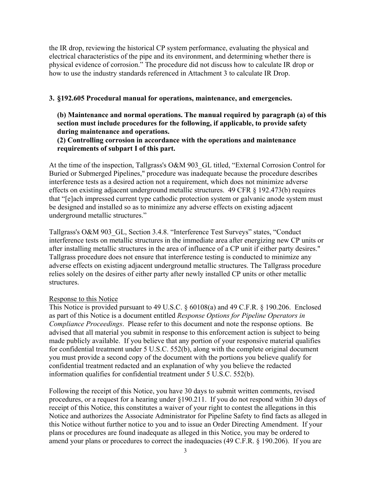the IR drop, reviewing the historical CP system performance, evaluating the physical and electrical characteristics of the pipe and its environment, and determining whether there is physical evidence of corrosion." The procedure did not discuss how to calculate IR drop or how to use the industry standards referenced in Attachment 3 to calculate IR Drop.

### **3. §192.605 Procedural manual for operations, maintenance, and emergencies.**

**(b) Maintenance and normal operations. The manual required by paragraph (a) of this section must include procedures for the following, if applicable, to provide safety during maintenance and operations.** 

## **(2) Controlling corrosion in accordance with the operations and maintenance requirements of subpart I of this part.**

At the time of the inspection, Tallgrass's O&M 903\_GL titled, "External Corrosion Control for Buried or Submerged Pipelines," procedure was inadequate because the procedure describes interference tests as a desired action not a requirement, which does not minimize adverse effects on existing adjacent underground metallic structures. 49 CFR § 192.473(b) requires that "[e]ach impressed current type cathodic protection system or galvanic anode system must be designed and installed so as to minimize any adverse effects on existing adjacent underground metallic structures."

Tallgrass's O&M 903\_GL, Section 3.4.8. "Interference Test Surveys" states, "Conduct interference tests on metallic structures in the immediate area after energizing new CP units or after installing metallic structures in the area of influence of a CP unit if either party desires." Tallgrass procedure does not ensure that interference testing is conducted to minimize any adverse effects on existing adjacent underground metallic structures. The Tallgrass procedure relies solely on the desires of either party after newly installed CP units or other metallic structures.

#### Response to this Notice

This Notice is provided pursuant to 49 U.S.C. § 60108(a) and 49 C.F.R. § 190.206. Enclosed as part of this Notice is a document entitled *Response Options for Pipeline Operators in Compliance Proceedings*. Please refer to this document and note the response options. Be advised that all material you submit in response to this enforcement action is subject to being made publicly available. If you believe that any portion of your responsive material qualifies for confidential treatment under 5 U.S.C. 552(b), along with the complete original document you must provide a second copy of the document with the portions you believe qualify for confidential treatment redacted and an explanation of why you believe the redacted information qualifies for confidential treatment under 5 U.S.C. 552(b).

Following the receipt of this Notice, you have 30 days to submit written comments, revised procedures, or a request for a hearing under §190.211. If you do not respond within 30 days of receipt of this Notice, this constitutes a waiver of your right to contest the allegations in this Notice and authorizes the Associate Administrator for Pipeline Safety to find facts as alleged in this Notice without further notice to you and to issue an Order Directing Amendment. If your plans or procedures are found inadequate as alleged in this Notice, you may be ordered to amend your plans or procedures to correct the inadequacies (49 C.F.R. § 190.206). If you are